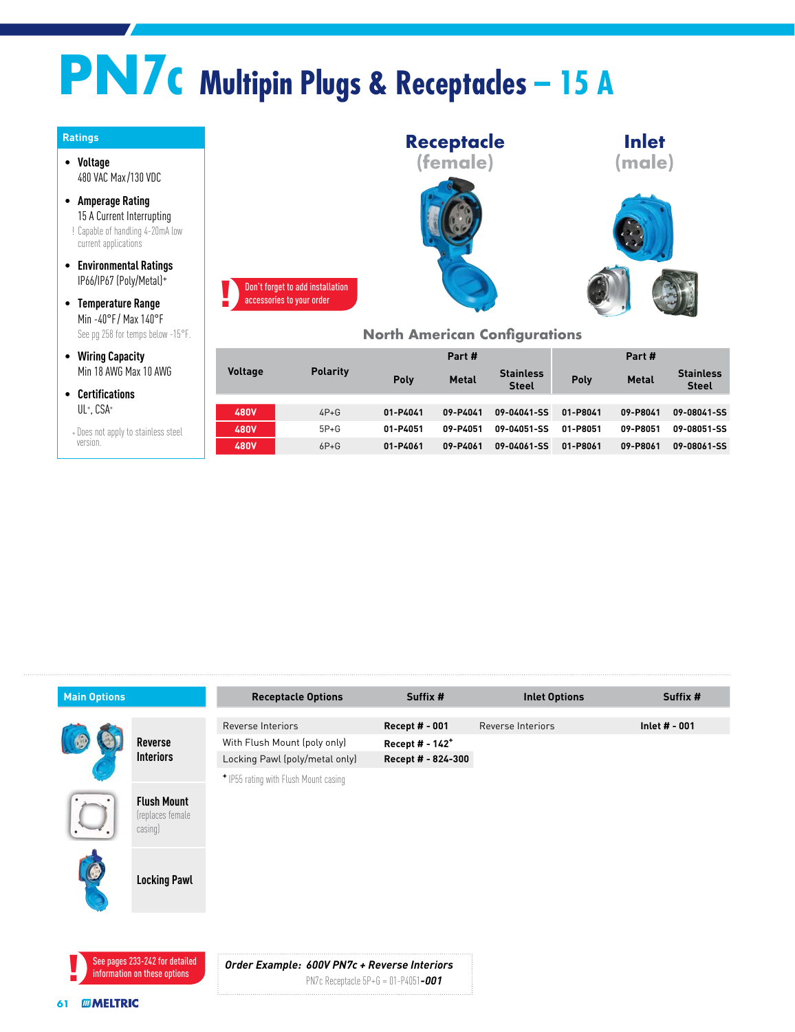## **PN7c Multipin Plugs & Receptacles – 15 A**

| <b>Ratings</b>                                                                                                  |                                  |                 |
|-----------------------------------------------------------------------------------------------------------------|----------------------------------|-----------------|
| Voltage<br>480 VAC Max/130 VDC                                                                                  |                                  |                 |
| <b>Amperage Rating</b><br>15 A Current Interrupting<br>! Capable of handling 4-20mA low<br>current applications |                                  |                 |
| <b>Environmental Ratings</b><br>IP66/IP67 (Poly/Metal)+                                                         | Don't forget to add installation |                 |
| <b>Temperature Range</b><br>Min -40°F/Max 140°F<br>See pq 258 for temps below -15°F.                            | accessories to your order        |                 |
| <b>Wiring Capacity</b><br>Min 18 AWG Max 10 AWG                                                                 | <b>Voltage</b>                   | <b>Polarity</b> |
| <b>Certifications</b>                                                                                           |                                  |                 |
| UL+, CSA+                                                                                                       | <b>480V</b>                      | $4P+G$          |
| + Does not apply to stainless steel                                                                             | 480V                             | $5P+G$          |
| version.                                                                                                        | LRNV                             | $6P + G$        |



## **North American Configurations**

|                |                 | Part #   |              |                                  | Part #   |              |                                  |
|----------------|-----------------|----------|--------------|----------------------------------|----------|--------------|----------------------------------|
| <b>Voltage</b> | <b>Polarity</b> | Poly     | <b>Metal</b> | <b>Stainless</b><br><b>Steel</b> | Poly     | <b>Metal</b> | <b>Stainless</b><br><b>Steel</b> |
|                |                 |          |              |                                  |          |              |                                  |
| <b>480V</b>    | $4P+G$          | 01-P4041 | 09-P4041     | 09-04041-SS                      | 01-P8041 | 09-P8041     | 09-08041-SS                      |
| <b>480V</b>    | $5P+G$          | 01-P4051 | 09-P4051     | 09-04051-SS                      | 01-P8051 | 09-P8051     | 09-08051-SS                      |
| <b>480V</b>    | $6P + G$        | 01-P4061 | 09-P4061     | 09-04061-SS                      | 01-P8061 | 09-P8061     | 09-08061-SS                      |

| <b>Main Options</b> |                                                                | <b>Receptacle Options</b>                    | Suffix #                    | <b>Inlet Options</b> | Suffix #      |
|---------------------|----------------------------------------------------------------|----------------------------------------------|-----------------------------|----------------------|---------------|
|                     |                                                                | Reverse Interiors                            | Recept # - 001              | Reverse Interiors    | Inlet # - 001 |
|                     | <b>Reverse</b>                                                 | With Flush Mount (poly only)                 | Recept # - 142 <sup>+</sup> |                      |               |
|                     | <b>Interiors</b>                                               | Locking Pawl (poly/metal only)               | Recept # - 824-300          |                      |               |
|                     |                                                                | * IP55 rating with Flush Mount casing        |                             |                      |               |
|                     | <b>Flush Mount</b><br>(replaces female<br>casing)              |                                              |                             |                      |               |
|                     | <b>Locking Pawl</b>                                            |                                              |                             |                      |               |
|                     | See pages 233-242 for detailed<br>information on these options | Order Example: 600V PN7c + Reverse Interiors |                             |                      |               |